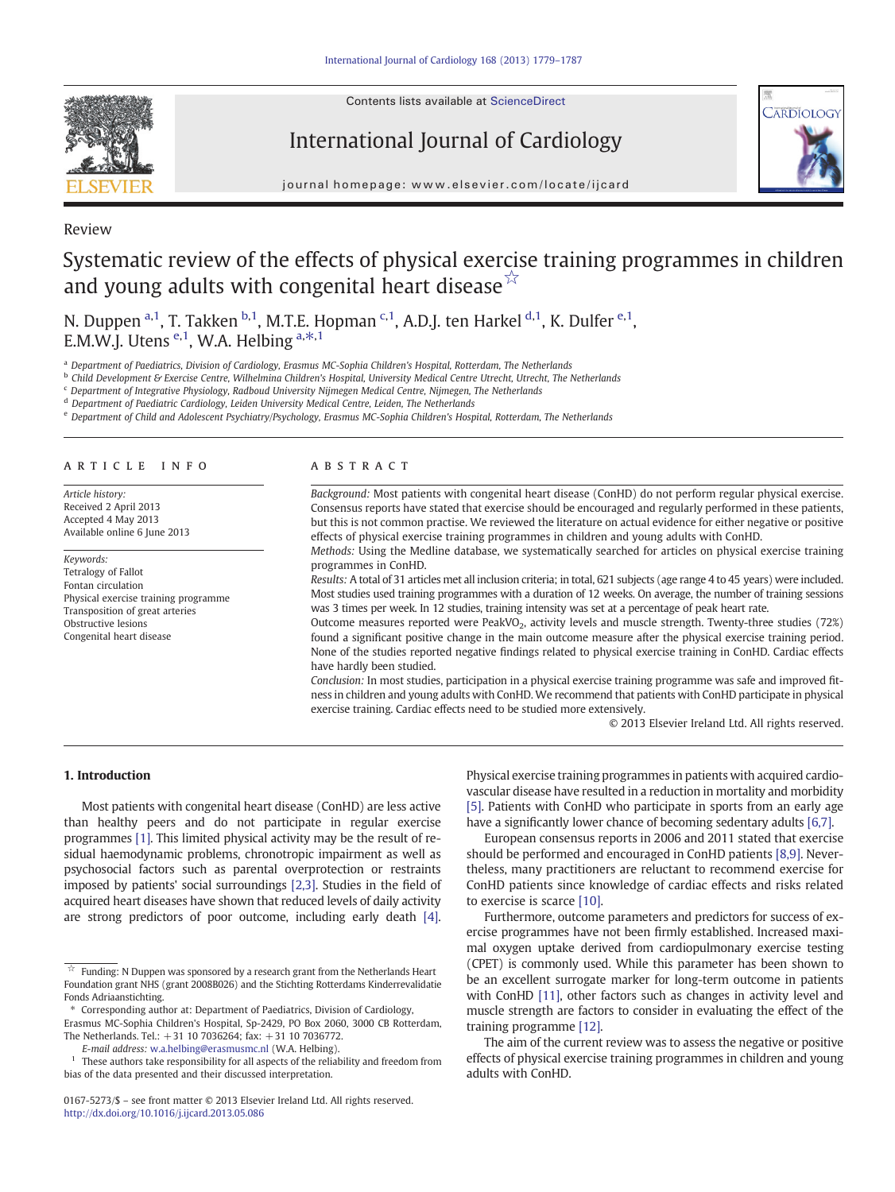Contents lists available at [ScienceDirect](http://www.sciencedirect.com/science/journal/01675273)

# International Journal of Cardiology



journal homepage: www.elsevier.com/locate/ijcard

# Review

# Systematic review of the effects of physical exercise training programmes in children and young adults with congenital heart disease $\sqrt[k]{x}$

N. Duppen <sup>a, 1</sup>, T. Takken <sup>b, 1</sup>, M.T.E. Hopman <sup>c, 1</sup>, A.D.J. ten Harkel <sup>d, 1</sup>, K. Dulfer <sup>e, 1</sup>, E.M.W.J. Utens <sup>e,1</sup>, W.A. Helbing <sup>a,\*,1</sup>

<sup>a</sup> Department of Paediatrics, Division of Cardiology, Erasmus MC-Sophia Children's Hospital, Rotterdam, The Netherlands

**b** Child Development & Exercise Centre, Wilhelmina Children's Hospital, University Medical Centre Utrecht, Utrecht, The Netherlands

 $c$  Department of Integrative Physiology, Radboud University Nijmegen Medical Centre, Nijmegen, The Netherlands

<sup>d</sup> Department of Paediatric Cardiology, Leiden University Medical Centre, Leiden, The Netherlands

<sup>e</sup> Department of Child and Adolescent Psychiatry/Psychology, Erasmus MC-Sophia Children's Hospital, Rotterdam, The Netherlands

# article info abstract

Article history: Received 2 April 2013 Accepted 4 May 2013 Available online 6 June 2013

Keywords: Tetralogy of Fallot Fontan circulation Physical exercise training programme Transposition of great arteries Obstructive lesions Congenital heart disease

Background: Most patients with congenital heart disease (ConHD) do not perform regular physical exercise. Consensus reports have stated that exercise should be encouraged and regularly performed in these patients, but this is not common practise. We reviewed the literature on actual evidence for either negative or positive effects of physical exercise training programmes in children and young adults with ConHD.

Methods: Using the Medline database, we systematically searched for articles on physical exercise training programmes in ConHD.

Results: A total of 31 articles met all inclusion criteria; in total, 621 subjects (age range 4 to 45 years) were included. Most studies used training programmes with a duration of 12 weeks. On average, the number of training sessions was 3 times per week. In 12 studies, training intensity was set at a percentage of peak heart rate.

Outcome measures reported were PeakVO<sub>2</sub>, activity levels and muscle strength. Twenty-three studies (72%) found a significant positive change in the main outcome measure after the physical exercise training period. None of the studies reported negative findings related to physical exercise training in ConHD. Cardiac effects have hardly been studied.

Conclusion: In most studies, participation in a physical exercise training programme was safe and improved fitness in children and young adults with ConHD. We recommend that patients with ConHD participate in physical exercise training. Cardiac effects need to be studied more extensively.

© 2013 Elsevier Ireland Ltd. All rights reserved.

# 1. Introduction

Most patients with congenital heart disease (ConHD) are less active than healthy peers and do not participate in regular exercise programmes [\[1\]](#page-7-0). This limited physical activity may be the result of residual haemodynamic problems, chronotropic impairment as well as psychosocial factors such as parental overprotection or restraints imposed by patients' social surroundings [\[2,3\].](#page-7-0) Studies in the field of acquired heart diseases have shown that reduced levels of daily activity are strong predictors of poor outcome, including early death [\[4\].](#page-7-0)

E-mail address: [w.a.helbing@erasmusmc.nl](mailto:w.a.helbing@erasmusmc.nl) (W.A. Helbing).

Physical exercise training programmes in patients with acquired cardiovascular disease have resulted in a reduction in mortality and morbidity [\[5\]](#page-7-0). Patients with ConHD who participate in sports from an early age have a significantly lower chance of becoming sedentary adults [\[6,7\].](#page-7-0)

European consensus reports in 2006 and 2011 stated that exercise should be performed and encouraged in ConHD patients [\[8,9\].](#page-7-0) Nevertheless, many practitioners are reluctant to recommend exercise for ConHD patients since knowledge of cardiac effects and risks related to exercise is scarce [\[10\].](#page-8-0)

Furthermore, outcome parameters and predictors for success of exercise programmes have not been firmly established. Increased maximal oxygen uptake derived from cardiopulmonary exercise testing (CPET) is commonly used. While this parameter has been shown to be an excellent surrogate marker for long-term outcome in patients with ConHD [\[11\],](#page-8-0) other factors such as changes in activity level and muscle strength are factors to consider in evaluating the effect of the training programme [\[12\].](#page-8-0)

The aim of the current review was to assess the negative or positive effects of physical exercise training programmes in children and young adults with ConHD.

 $\overline{\mathbf{r}}$  Funding: N Duppen was sponsored by a research grant from the Netherlands Heart Foundation grant NHS (grant 2008B026) and the Stichting Rotterdams Kinderrevalidatie Fonds Adriaanstichting.

Corresponding author at: Department of Paediatrics, Division of Cardiology,

Erasmus MC-Sophia Children's Hospital, Sp-2429, PO Box 2060, 3000 CB Rotterdam, The Netherlands. Tel.: +31 10 7036264; fax: +31 10 7036772.

These authors take responsibility for all aspects of the reliability and freedom from bias of the data presented and their discussed interpretation.

<sup>0167-5273/\$</sup> – see front matter © 2013 Elsevier Ireland Ltd. All rights reserved. <http://dx.doi.org/10.1016/j.ijcard.2013.05.086>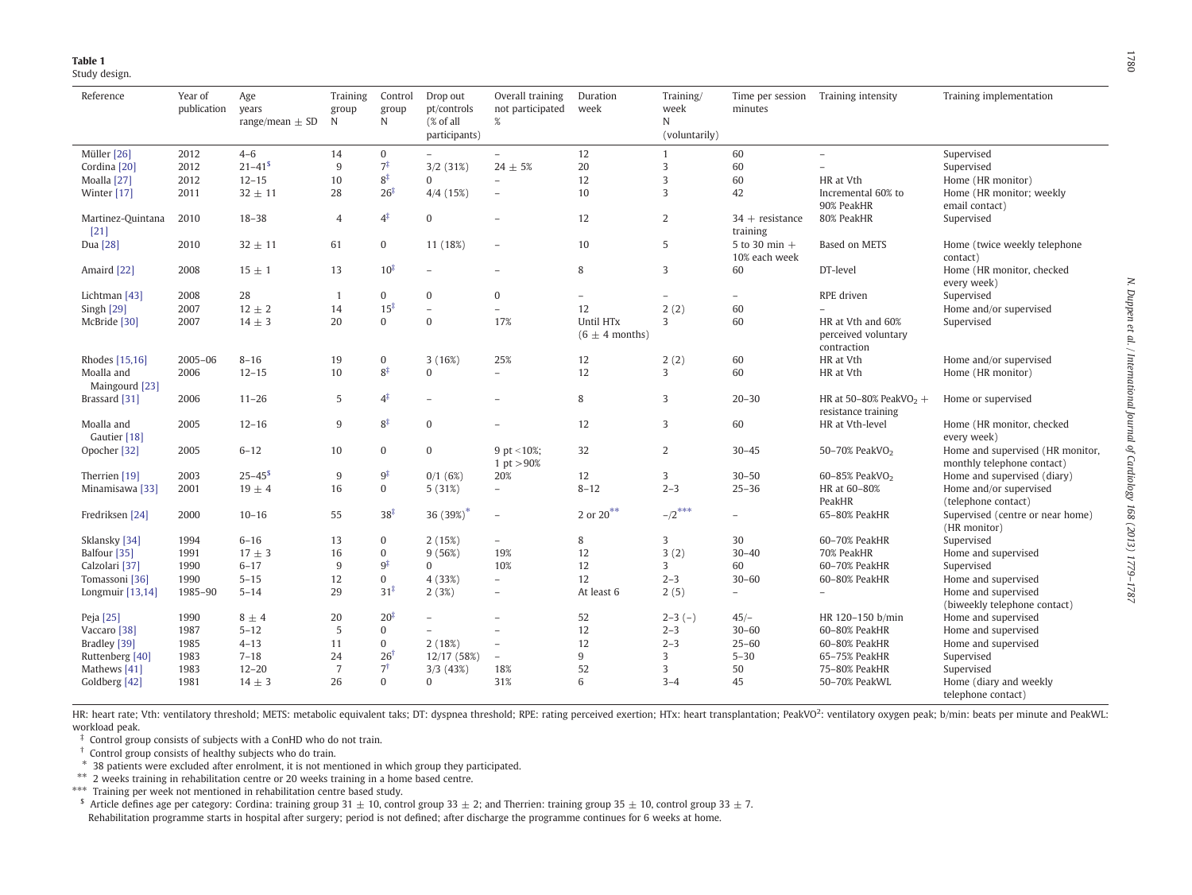<span id="page-1-0"></span>Table 1

Study design.

| Reference                    | Year of<br>publication | Age<br>years<br>range/mean $\pm$ SD | Training<br>group<br>N | Control<br>group<br>N | Drop out<br>pt/controls<br>(% of all<br>participants) | Overall training<br>not participated<br>% | Duration<br>week                | Training/<br>week<br>N<br>(voluntarily) | minutes                          | Time per session Training intensity                       | Training implementation                                        |
|------------------------------|------------------------|-------------------------------------|------------------------|-----------------------|-------------------------------------------------------|-------------------------------------------|---------------------------------|-----------------------------------------|----------------------------------|-----------------------------------------------------------|----------------------------------------------------------------|
| Müller [26]                  | 2012                   | $4 - 6$                             | 14                     | $\bf{0}$              |                                                       |                                           | 12                              | $\overline{1}$                          | 60                               |                                                           | Supervised                                                     |
| Cordina [20]                 | 2012                   | $21 - 41^s$                         | 9                      | $7\ddagger$           | 3/2(31%)                                              | $24 \pm 5%$                               | 20                              | 3                                       | 60                               |                                                           | Supervised                                                     |
| Moalla [27]                  | 2012                   | $12 - 15$                           | 10                     | $8\ddag$              | $\Omega$                                              |                                           | 12                              | $\overline{3}$                          | 60                               | HR at Vth                                                 | Home (HR monitor)                                              |
| Winter [17]                  | 2011                   | $32 \pm 11$                         | 28                     | 26 <sup>‡</sup>       | 4/4(15%)                                              |                                           | 10                              | 3                                       | 42                               | Incremental 60% to<br>90% PeakHR                          | Home (HR monitor; weekly<br>email contact)                     |
| Martinez-Quintana<br>$[21]$  | 2010                   | $18 - 38$                           | $\overline{4}$         | $4^{\ddagger}$        | $\bf{0}$                                              | $\overline{a}$                            | 12                              | 2                                       | $34 +$ resistance<br>training    | 80% PeakHR                                                | Supervised                                                     |
| Dua [28]                     | 2010                   | $32 \pm 11$                         | 61                     | $\bf{0}$              | 11 (18%)                                              | $\overline{a}$                            | 10                              | 5                                       | 5 to 30 min $+$<br>10% each week | Based on METS                                             | Home (twice weekly telephone<br>contact)                       |
| Amaird [22]                  | 2008                   | $15 \pm 1$                          | 13                     | $10^{1}$              |                                                       | $\qquad \qquad -$                         | 8                               | 3                                       | 60                               | DT-level                                                  | Home (HR monitor, checked<br>every week)                       |
| Lichtman [43]                | 2008                   | 28                                  | 1                      | $\bf{0}$              | $\mathbf{0}$                                          | $\bf{0}$                                  |                                 | $\equiv$                                | $\overline{\phantom{a}}$         | RPE driven                                                | Supervised                                                     |
| Singh $[29]$                 | 2007                   | $12\,\pm\,2$                        | 14                     | $15^{\ddagger}$       | $\overline{a}$                                        | $\equiv$                                  | 12                              | 2(2)                                    | 60                               |                                                           | Home and/or supervised                                         |
| McBride [30]                 | 2007                   | $14 \pm 3$                          | 20                     | $\bf{0}$              | $\mathbf{0}$                                          | 17%                                       | Until HTx<br>$(6 \pm 4$ months) | 3                                       | 60                               | HR at Vth and 60%<br>perceived voluntary<br>contraction   | Supervised                                                     |
| Rhodes [15,16]               | 2005-06                | $8 - 16$                            | 19                     | $\boldsymbol{0}$      | 3(16%)                                                | 25%                                       | 12                              | 2(2)                                    | 60                               | HR at Vth                                                 | Home and/or supervised                                         |
| Moalla and<br>Maingourd [23] | 2006                   | $12 - 15$                           | 10                     | $8\ddag$              | $\mathbf{0}$                                          | $\equiv$                                  | 12                              | 3                                       | 60                               | HR at Vth                                                 | Home (HR monitor)                                              |
| Brassard [31]                | 2006                   | $11 - 26$                           | 5                      | $4^{\ddagger}$        | $\overline{\phantom{a}}$                              |                                           | 8                               | 3                                       | $20 - 30$                        | HR at 50-80% PeakVO <sub>2</sub> +<br>resistance training | Home or supervised                                             |
| Moalla and<br>Gautier [18]   | 2005                   | $12 - 16$                           | 9                      | $8^{\ddagger}$        | $\mathbf{0}$                                          | $\equiv$                                  | 12                              | 3                                       | 60                               | HR at Vth-level                                           | Home (HR monitor, checked<br>every week)                       |
| Opocher [32]                 | 2005                   | $6 - 12$                            | 10                     | $\bf{0}$              | $\mathbf{0}$                                          | 9 pt < $10\%$ ;<br>1 pt $>90%$            | 32                              | $\overline{2}$                          | $30 - 45$                        | 50-70% PeakVO <sub>2</sub>                                | Home and supervised (HR monitor,<br>monthly telephone contact) |
| Therrien [19]                | 2003                   | $25 - 45^{\circ}$                   | $9\,$                  | $9^{\ddagger}$        | 0/1(6%)                                               | 20%                                       | 12                              | 3                                       | $30 - 50$                        | $60 - 85%$ PeakVO <sub>2</sub>                            | Home and supervised (diary)                                    |
| Minamisawa [33]              | 2001                   | $19 \pm 4$                          | 16                     | $\bf{0}$              | 5(31%)                                                | $\overline{a}$                            | $8 - 12$                        | $2 - 3$                                 | $25 - 36$                        | HR at 60-80%                                              | Home and/or supervised                                         |
|                              |                        |                                     |                        |                       |                                                       |                                           |                                 |                                         |                                  | PeakHR                                                    | (telephone contact)                                            |
| Fredriksen [24]              | 2000                   | $10 - 16$                           | 55                     | $38^{\ddagger}$       | $36(39%)^*$                                           | $\overline{\phantom{0}}$                  | $2$ or $20^{**}\,$              | $-2$ <sup>***</sup>                     |                                  | 65-80% PeakHR                                             | Supervised (centre or near home)<br>(HR monitor)               |
| Sklansky [34]                | 1994                   | $6 - 16$                            | 13                     | $\bf{0}$              | 2(15%)                                                | $\overline{a}$                            | 8                               | 3                                       | 30                               | 60-70% PeakHR                                             | Supervised                                                     |
| Balfour [35]                 | 1991                   | $17 + 3$                            | 16                     | $\bf{0}$              | 9(56%)                                                | 19%                                       | 12                              | 3(2)                                    | $30 - 40$                        | 70% PeakHR                                                | Home and supervised                                            |
| Calzolari [37]               | 1990                   | $6 - 17$                            | 9                      | $9^{\ddagger}$        | $\Omega$                                              | 10%                                       | 12                              | 3                                       | 60                               | 60-70% PeakHR                                             | Supervised                                                     |
| Tomassoni [36]               | 1990                   | $5 - 15$                            | 12                     | $\bf{0}$              | 4 (33%)                                               | $\overline{a}$                            | 12                              | $2 - 3$                                 | $30 - 60$                        | 60-80% PeakHR                                             | Home and supervised                                            |
| Longmuir $[13,14]$           | 1985-90                | $5 - 14$                            | 29                     | $31^{\ddagger}$       | 2(3%)                                                 | $\qquad \qquad -$                         | At least 6                      | 2(5)                                    | $\overline{a}$                   |                                                           | Home and supervised<br>(biweekly telephone contact)            |
| Peja [25]                    | 1990                   | $8 \pm 4$                           | 20                     | $20^{\ddagger}$       | $\overline{\phantom{a}}$                              | $\overline{\phantom{a}}$                  | 52                              | $2 - 3(-)$                              | $45/-$                           | HR 120-150 b/min                                          | Home and supervised                                            |
| Vaccaro [38]                 | 1987                   | $5 - 12$                            | 5                      | $\mathbf{0}$          |                                                       | $\overline{\phantom{a}}$                  | 12                              | $2 - 3$                                 | $30 - 60$                        | 60-80% PeakHR                                             | Home and supervised                                            |
| Bradley [39]                 | 1985                   | $4 - 13$                            | 11                     | 0                     | 2(18%)                                                | $\equiv$                                  | 12                              | $2 - 3$                                 | $25 - 60$                        | 60-80% PeakHR                                             | Home and supervised                                            |
| Ruttenberg [40]              | 1983                   | $7 - 18$                            | 24                     | $26^{\dagger}$        | 12/17 (58%)                                           | $\overline{\phantom{0}}$                  | 9                               | 3                                       | $5 - 30$                         | 65-75% PeakHR                                             | Supervised                                                     |
| Mathews [41]                 | 1983                   | $12 - 20$                           | 7                      | 7 <sup>†</sup>        | 3/3(43%)                                              | 18%                                       | 52                              | 3                                       | 50                               | 75-80% PeakHR                                             | Supervised                                                     |
| Goldberg [42]                | 1981                   | $14 \pm 3$                          | 26                     | $\Omega$              | $\Omega$                                              | 31%                                       | 6                               | $3 - 4$                                 | 45                               | 50-70% PeakWL                                             | Home (diary and weekly<br>telephone contact)                   |

HR: heart rate; Vth: ventilatory threshold; METS: metabolic equivalent taks; DT: dyspnea threshold; RPE: rating perceived exertion; HTx: heart transplantation; PeakVO2: ventilatory oxygen peak; b/min: beats per minute and workload peak.

‡ Control group consists of subjects with <sup>a</sup> ConHD who do not train.

† Control group consists of healthy subjects who do train.

⁎ 38 patients were excluded after enrolment, it is not mentioned in which group they participated.

\*\* 2 weeks training in rehabilitation centre or 20 weeks training in a home based centre.

\*\*\* Training per week not mentioned in rehabilitation centre based study.

<sup>\$</sup> Article defines age per category: Cordina: training group 31  $\pm$  10, control group 33  $\pm$  2; and Therrien: training group 35  $\pm$  10, control group 33  $\pm$  7. Rehabilitation programme starts in hospital after surgery; period is not defined; after discharge the programme continues for 6 weeks at home.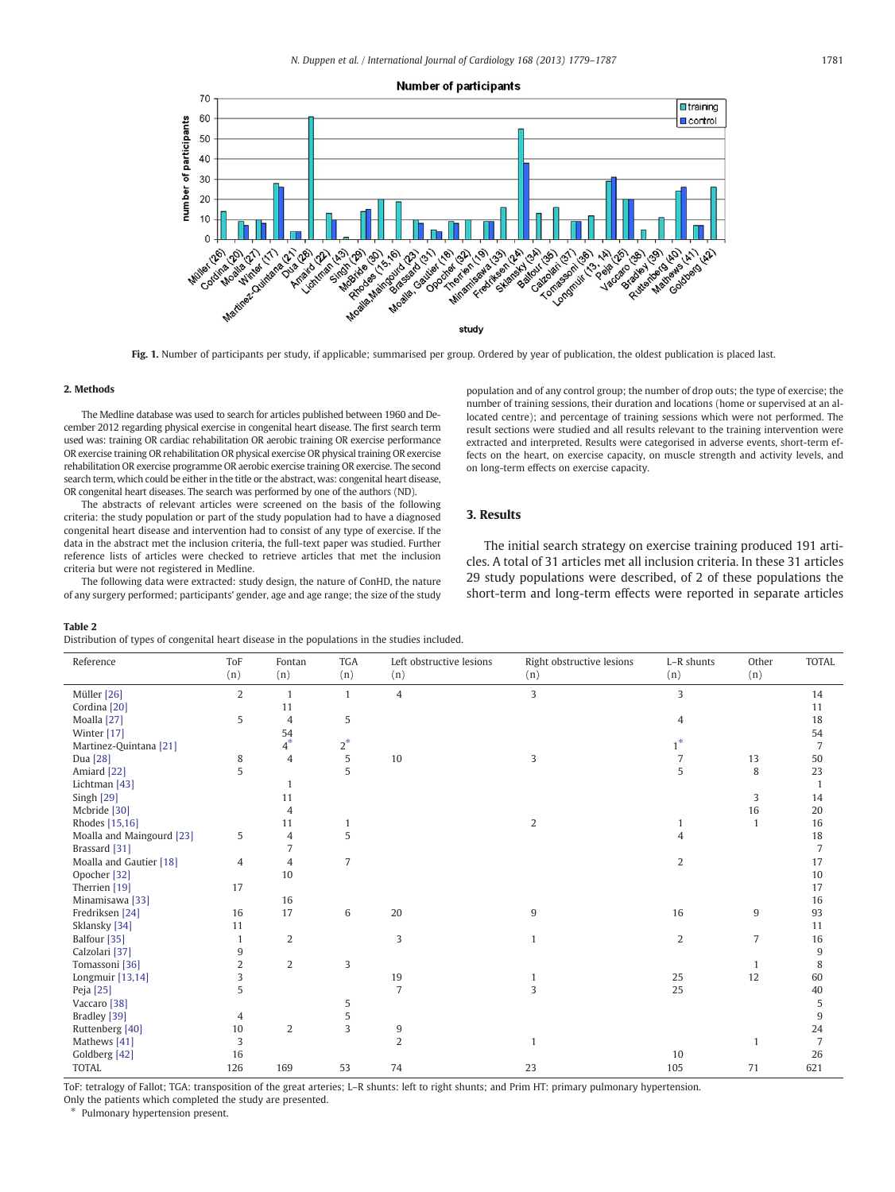<span id="page-2-0"></span>

Fig. 1. Number of participants per study, if applicable; summarised per group. Ordered by year of publication, the oldest publication is placed last.

#### 2. Methods

The Medline database was used to search for articles published between 1960 and December 2012 regarding physical exercise in congenital heart disease. The first search term used was: training OR cardiac rehabilitation OR aerobic training OR exercise performance OR exercise training OR rehabilitation OR physical exercise OR physical training OR exercise rehabilitation OR exercise programme OR aerobic exercise training OR exercise. The second search term, which could be either in the title or the abstract, was: congenital heart disease, OR congenital heart diseases. The search was performed by one of the authors (ND).

The abstracts of relevant articles were screened on the basis of the following criteria: the study population or part of the study population had to have a diagnosed congenital heart disease and intervention had to consist of any type of exercise. If the data in the abstract met the inclusion criteria, the full-text paper was studied. Further reference lists of articles were checked to retrieve articles that met the inclusion criteria but were not registered in Medline.

The following data were extracted: study design, the nature of ConHD, the nature of any surgery performed; participants' gender, age and age range; the size of the study population and of any control group; the number of drop outs; the type of exercise; the number of training sessions, their duration and locations (home or supervised at an allocated centre); and percentage of training sessions which were not performed. The result sections were studied and all results relevant to the training intervention were extracted and interpreted. Results were categorised in adverse events, short-term effects on the heart, on exercise capacity, on muscle strength and activity levels, and on long-term effects on exercise capacity.

#### 3. Results

The initial search strategy on exercise training produced 191 articles. A total of 31 articles met all inclusion criteria. In these 31 articles 29 study populations were described, of 2 of these populations the short-term and long-term effects were reported in separate articles

#### Table 2

Distribution of types of congenital heart disease in the populations in the studies included.

| Reference                 | ToF            | Fontan         | <b>TGA</b>     | Left obstructive lesions | Right obstructive lesions | L-R shunts     | Other          | <b>TOTAL</b>   |
|---------------------------|----------------|----------------|----------------|--------------------------|---------------------------|----------------|----------------|----------------|
|                           | (n)            | (n)            | (n)            | (n)                      | (n)                       | (n)            | (n)            |                |
| Müller [26]               | $\overline{2}$ | $\mathbf{1}$   | $\mathbf{1}$   | $\overline{4}$           | 3                         | 3              |                | 14             |
| Cordina [20]              |                | 11             |                |                          |                           |                |                | 11             |
| Moalla [27]               | 5              | $\overline{4}$ | 5              |                          |                           | $\overline{4}$ |                | 18             |
| Winter [17]               |                | 54             |                |                          |                           |                |                | 54             |
| Martinez-Quintana [21]    |                | $4^*$          | $2^*$          |                          |                           | $1^*$          |                | $\overline{7}$ |
| Dua [28]                  | 8              | $\overline{4}$ | $\sqrt{5}$     | 10                       | 3                         | $\overline{7}$ | 13             | 50             |
| Amiard [22]               | 5              |                | 5              |                          |                           | 5              | 8              | 23             |
| Lichtman [43]             |                | $\mathbf{1}$   |                |                          |                           |                |                | $\mathbf{1}$   |
| Singh $[29]$              |                | 11             |                |                          |                           |                | 3              | 14             |
| Mcbride [30]              |                | $\overline{4}$ |                |                          |                           |                | 16             | 20             |
| Rhodes [15,16]            |                | 11             | $\mathbf{1}$   |                          | 2                         | 1              | $\mathbf{1}$   | 16             |
| Moalla and Maingourd [23] | 5              | $\overline{4}$ | 5              |                          |                           | $\overline{4}$ |                | 18             |
| Brassard [31]             |                | $\overline{7}$ |                |                          |                           |                |                | $\overline{7}$ |
| Moalla and Gautier [18]   | 4              | $\overline{4}$ | $\overline{7}$ |                          |                           | $\overline{2}$ |                | 17             |
| Opocher <sup>[32]</sup>   |                | 10             |                |                          |                           |                |                | 10             |
| Therrien [19]             | 17             |                |                |                          |                           |                |                | 17             |
| Minamisawa [33]           |                | 16             |                |                          |                           |                |                | 16             |
| Fredriksen [24]           | 16             | 17             | 6              | 20                       | 9                         | 16             | $9\,$          | 93             |
| Sklansky [34]             | 11             |                |                |                          |                           |                |                | 11             |
| Balfour [35]              |                | $\overline{2}$ |                | 3                        | $\mathbf{1}$              | $\overline{2}$ | $\overline{7}$ | 16             |
| Calzolari [37]            | 9              |                |                |                          |                           |                |                | $9\,$          |
| Tomassoni [36]            | $\overline{2}$ | $\overline{2}$ | 3              |                          |                           |                | $\mathbf{1}$   | 8              |
| Longmuir [13,14]          | 3              |                |                | 19                       | 1                         | 25             | 12             | 60             |
| Peja [25]                 | 5              |                |                | $\overline{7}$           | 3                         | 25             |                | 40             |
| Vaccaro [38]              |                |                | 5              |                          |                           |                |                | 5              |
| Bradley [39]              | 4              |                | 5              |                          |                           |                |                | $9\,$          |
| Ruttenberg [40]           | $10\,$         | $\overline{2}$ | 3              | 9                        |                           |                |                | 24             |
| Mathews [41]              | 3              |                |                | $\overline{2}$           | $\mathbf{1}$              |                | $\mathbf{1}$   | $\overline{7}$ |
| Goldberg [42]             | 16             |                |                |                          |                           | 10             |                | 26             |
| <b>TOTAL</b>              | 126            | 169            | 53             | 74                       | 23                        | 105            | 71             | 621            |

ToF: tetralogy of Fallot; TGA: transposition of the great arteries; L–R shunts: left to right shunts; and Prim HT: primary pulmonary hypertension.

Only the patients which completed the study are presented.

⁎ Pulmonary hypertension present.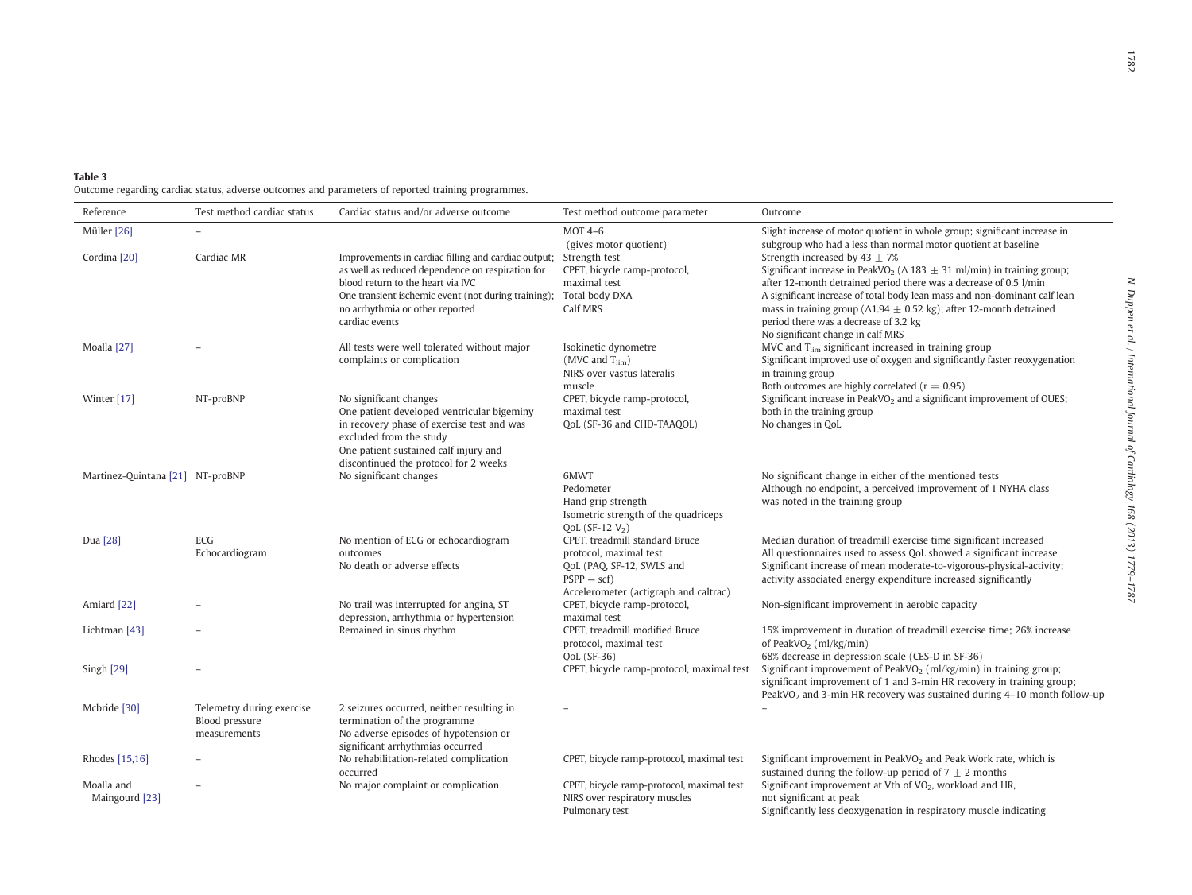#### <span id="page-3-0"></span>Table 3Outcome regarding cardiac status, adverse outcomes and parameters of reported training programmes.

| Reference                        | Test method cardiac status                                  | Cardiac status and/or adverse outcome                                                                                                                                                                                                                                  | Test method outcome parameter                                                                                                                  | Outcome                                                                                                                                                                                                                                                                                                                                                                                                                                                |
|----------------------------------|-------------------------------------------------------------|------------------------------------------------------------------------------------------------------------------------------------------------------------------------------------------------------------------------------------------------------------------------|------------------------------------------------------------------------------------------------------------------------------------------------|--------------------------------------------------------------------------------------------------------------------------------------------------------------------------------------------------------------------------------------------------------------------------------------------------------------------------------------------------------------------------------------------------------------------------------------------------------|
| Müller [26]                      |                                                             |                                                                                                                                                                                                                                                                        | $MOT 4-6$<br>(gives motor quotient)                                                                                                            | Slight increase of motor quotient in whole group; significant increase in<br>subgroup who had a less than normal motor quotient at baseline                                                                                                                                                                                                                                                                                                            |
| Cordina [20]                     | Cardiac MR                                                  | Improvements in cardiac filling and cardiac output; Strength test<br>as well as reduced dependence on respiration for<br>blood return to the heart via IVC<br>One transient ischemic event (not during training);<br>no arrhythmia or other reported<br>cardiac events | CPET, bicycle ramp-protocol,<br>maximal test<br>Total body DXA<br>Calf MRS                                                                     | Strength increased by 43 $\pm$ 7%<br>Significant increase in PeakVO <sub>2</sub> ( $\Delta$ 183 $\pm$ 31 ml/min) in training group;<br>after 12-month detrained period there was a decrease of 0.5 l/min<br>A significant increase of total body lean mass and non-dominant calf lean<br>mass in training group ( $\Delta$ 1.94 $\pm$ 0.52 kg); after 12-month detrained<br>period there was a decrease of 3.2 kg<br>No significant change in calf MRS |
| Moalla [27]                      |                                                             | All tests were well tolerated without major<br>complaints or complication                                                                                                                                                                                              | Isokinetic dynometre<br>(MVC and $T_{\text{lim}}$ )<br>NIRS over vastus lateralis<br>muscle                                                    | MVC and T <sub>lim</sub> significant increased in training group<br>Significant improved use of oxygen and significantly faster reoxygenation<br>in training group<br>Both outcomes are highly correlated ( $r = 0.95$ )                                                                                                                                                                                                                               |
| Winter [17]                      | NT-proBNP                                                   | No significant changes<br>One patient developed ventricular bigeminy<br>in recovery phase of exercise test and was<br>excluded from the study<br>One patient sustained calf injury and<br>discontinued the protocol for 2 weeks                                        | CPET, bicycle ramp-protocol,<br>maximal test<br>QoL (SF-36 and CHD-TAAQOL)                                                                     | Significant increase in PeakVO <sub>2</sub> and a significant improvement of OUES;<br>both in the training group<br>No changes in QoL                                                                                                                                                                                                                                                                                                                  |
| Martinez-Quintana [21] NT-proBNP |                                                             | No significant changes                                                                                                                                                                                                                                                 | 6MWT<br>Pedometer<br>Hand grip strength<br>Isometric strength of the quadriceps<br>QoL (SF-12 $V_2$ )                                          | No significant change in either of the mentioned tests<br>Although no endpoint, a perceived improvement of 1 NYHA class<br>was noted in the training group                                                                                                                                                                                                                                                                                             |
| Dua [28]                         | ECG<br>Echocardiogram                                       | No mention of ECG or echocardiogram<br>outcomes<br>No death or adverse effects                                                                                                                                                                                         | CPET, treadmill standard Bruce<br>protocol, maximal test<br>QoL (PAQ, SF-12, SWLS and<br>$PSPP - scf$<br>Accelerometer (actigraph and caltrac) | Median duration of treadmill exercise time significant increased<br>All questionnaires used to assess QoL showed a significant increase<br>Significant increase of mean moderate-to-vigorous-physical-activity;<br>activity associated energy expenditure increased significantly                                                                                                                                                                      |
| Amiard [22]                      |                                                             | No trail was interrupted for angina, ST<br>depression, arrhythmia or hypertension                                                                                                                                                                                      | CPET, bicycle ramp-protocol,<br>maximal test                                                                                                   | Non-significant improvement in aerobic capacity                                                                                                                                                                                                                                                                                                                                                                                                        |
| Lichtman [43]                    |                                                             | Remained in sinus rhythm                                                                                                                                                                                                                                               | CPET, treadmill modified Bruce<br>protocol, maximal test<br>QoL (SF-36)                                                                        | 15% improvement in duration of treadmill exercise time; 26% increase<br>of PeakVO <sub>2</sub> (ml/kg/min)<br>68% decrease in depression scale (CES-D in SF-36)                                                                                                                                                                                                                                                                                        |
| Singh $[29]$                     |                                                             |                                                                                                                                                                                                                                                                        | CPET, bicycle ramp-protocol, maximal test                                                                                                      | Significant improvement of PeakVO <sub>2</sub> (ml/kg/min) in training group;<br>significant improvement of 1 and 3-min HR recovery in training group;<br>PeakVO <sub>2</sub> and 3-min HR recovery was sustained during 4-10 month follow-up                                                                                                                                                                                                          |
| Mcbride [30]                     | Telemetry during exercise<br>Blood pressure<br>measurements | 2 seizures occurred, neither resulting in<br>termination of the programme<br>No adverse episodes of hypotension or<br>significant arrhythmias occurred                                                                                                                 |                                                                                                                                                |                                                                                                                                                                                                                                                                                                                                                                                                                                                        |
| Rhodes [15,16]                   |                                                             | No rehabilitation-related complication<br>occurred                                                                                                                                                                                                                     | CPET, bicycle ramp-protocol, maximal test                                                                                                      | Significant improvement in PeakVO <sub>2</sub> and Peak Work rate, which is<br>sustained during the follow-up period of $7 \pm 2$ months                                                                                                                                                                                                                                                                                                               |
| Moalla and<br>Maingourd [23]     |                                                             | No major complaint or complication                                                                                                                                                                                                                                     | CPET, bicycle ramp-protocol, maximal test<br>NIRS over respiratory muscles<br>Pulmonary test                                                   | Significant improvement at Vth of VO <sub>2</sub> , workload and HR,<br>not significant at peak<br>Significantly less deoxygenation in respiratory muscle indicating                                                                                                                                                                                                                                                                                   |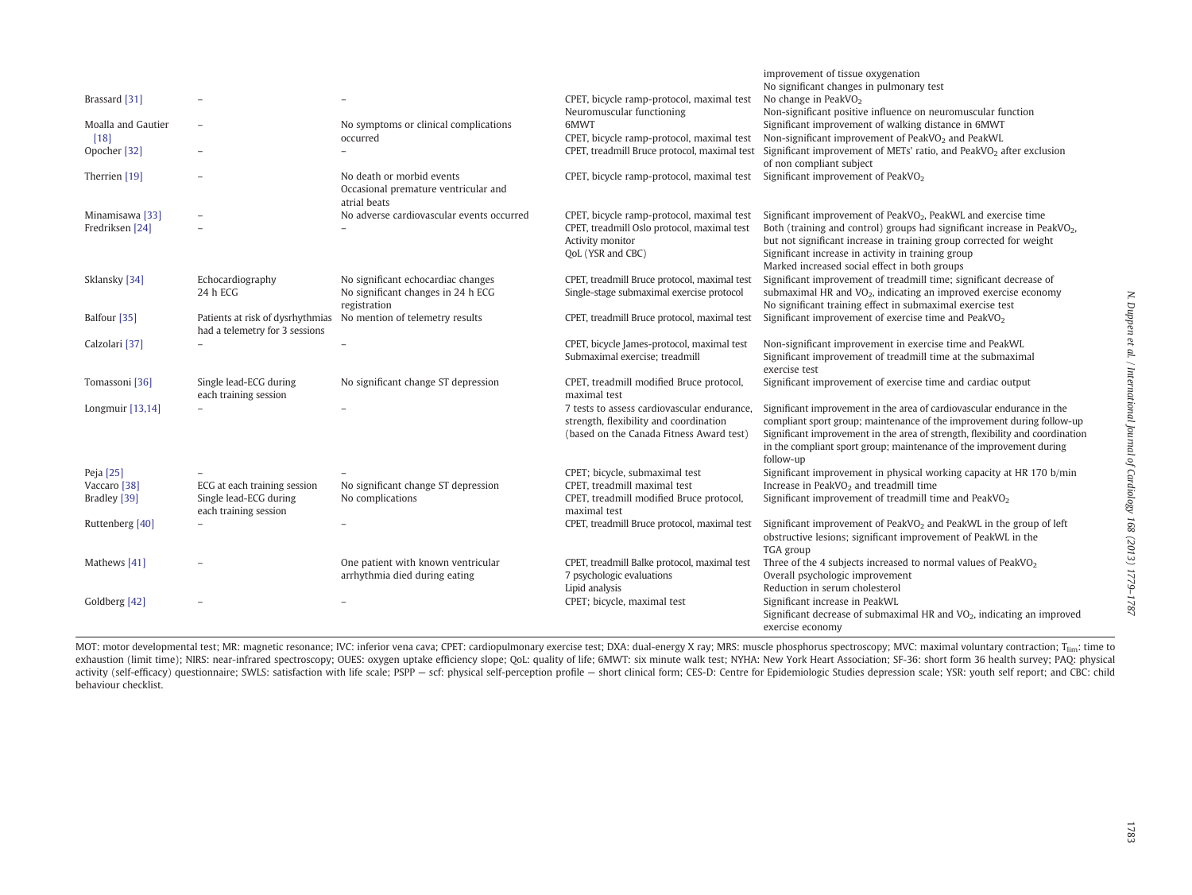| Brassard [31]        |                                                 |                                                                                   | CPET, bicycle ramp-protocol, maximal test                                                 | improvement of tissue oxygenation<br>No significant changes in pulmonary test<br>No change in PeakVO <sub>2</sub>                                                          |
|----------------------|-------------------------------------------------|-----------------------------------------------------------------------------------|-------------------------------------------------------------------------------------------|----------------------------------------------------------------------------------------------------------------------------------------------------------------------------|
|                      |                                                 |                                                                                   | Neuromuscular functioning                                                                 | Non-significant positive influence on neuromuscular function                                                                                                               |
| Moalla and Gautier   |                                                 | No symptoms or clinical complications                                             | 6MWT                                                                                      | Significant improvement of walking distance in 6MWT                                                                                                                        |
| [18]<br>Opocher [32] |                                                 | occurred                                                                          | CPET, bicycle ramp-protocol, maximal test<br>CPET, treadmill Bruce protocol, maximal test | Non-significant improvement of PeakVO <sub>2</sub> and PeakWL<br>Significant improvement of METs' ratio, and PeakVO <sub>2</sub> after exclusion                           |
|                      |                                                 |                                                                                   |                                                                                           | of non compliant subject                                                                                                                                                   |
| Therrien [19]        |                                                 | No death or morbid events<br>Occasional premature ventricular and<br>atrial beats | CPET, bicycle ramp-protocol, maximal test                                                 | Significant improvement of PeakVO <sub>2</sub>                                                                                                                             |
| Minamisawa [33]      |                                                 | No adverse cardiovascular events occurred                                         | CPET, bicycle ramp-protocol, maximal test                                                 | Significant improvement of PeakVO <sub>2</sub> , PeakWL and exercise time                                                                                                  |
| Fredriksen [24]      |                                                 |                                                                                   | CPET, treadmill Oslo protocol, maximal test                                               | Both (training and control) groups had significant increase in PeakVO <sub>2</sub> ,                                                                                       |
|                      |                                                 |                                                                                   | Activity monitor<br>QoL (YSR and CBC)                                                     | but not significant increase in training group corrected for weight<br>Significant increase in activity in training group<br>Marked increased social effect in both groups |
| Sklansky [34]        | Echocardiography                                | No significant echocardiac changes                                                | CPET, treadmill Bruce protocol, maximal test                                              | Significant improvement of treadmill time; significant decrease of                                                                                                         |
|                      | 24 h ECG                                        | No significant changes in 24 h ECG<br>registration                                | Single-stage submaximal exercise protocol                                                 | submaximal HR and VO <sub>2</sub> , indicating an improved exercise economy<br>No significant training effect in submaximal exercise test                                  |
| Balfour [35]         | had a telemetry for 3 sessions                  | Patients at risk of dysrhythmias No mention of telemetry results                  | CPET, treadmill Bruce protocol, maximal test                                              | Significant improvement of exercise time and PeakVO <sub>2</sub>                                                                                                           |
| Calzolari [37]       |                                                 |                                                                                   | CPET, bicycle James-protocol, maximal test                                                | Non-significant improvement in exercise time and PeakWL                                                                                                                    |
|                      |                                                 |                                                                                   | Submaximal exercise; treadmill                                                            | Significant improvement of treadmill time at the submaximal<br>exercise test                                                                                               |
| Tomassoni [36]       | Single lead-ECG during<br>each training session | No significant change ST depression                                               | CPET, treadmill modified Bruce protocol,<br>maximal test                                  | Significant improvement of exercise time and cardiac output                                                                                                                |
| Longmuir $[13,14]$   |                                                 |                                                                                   | 7 tests to assess cardiovascular endurance,                                               | Significant improvement in the area of cardiovascular endurance in the                                                                                                     |
|                      |                                                 |                                                                                   | strength, flexibility and coordination<br>(based on the Canada Fitness Award test)        | compliant sport group; maintenance of the improvement during follow-up<br>Significant improvement in the area of strength, flexibility and coordination                    |
|                      |                                                 |                                                                                   |                                                                                           | in the compliant sport group; maintenance of the improvement during<br>follow-up                                                                                           |
| Peja [25]            |                                                 |                                                                                   | CPET; bicycle, submaximal test                                                            | Significant improvement in physical working capacity at HR 170 b/min                                                                                                       |
| Vaccaro [38]         | ECG at each training session                    | No significant change ST depression                                               | CPET, treadmill maximal test                                                              | Increase in PeakVO <sub>2</sub> and treadmill time                                                                                                                         |
| Bradley [39]         | Single lead-ECG during<br>each training session | No complications                                                                  | CPET, treadmill modified Bruce protocol,<br>maximal test                                  | Significant improvement of treadmill time and PeakVO <sub>2</sub>                                                                                                          |
| Ruttenberg [40]      |                                                 |                                                                                   | CPET, treadmill Bruce protocol, maximal test                                              | Significant improvement of PeakVO <sub>2</sub> and PeakWL in the group of left                                                                                             |
|                      |                                                 |                                                                                   |                                                                                           | obstructive lesions; significant improvement of PeakWL in the                                                                                                              |
|                      |                                                 |                                                                                   |                                                                                           | TGA group                                                                                                                                                                  |
| Mathews [41]         |                                                 | One patient with known ventricular<br>arrhythmia died during eating               | CPET, treadmill Balke protocol, maximal test<br>7 psychologic evaluations                 | Three of the 4 subjects increased to normal values of PeakVO <sub>2</sub><br>Overall psychologic improvement                                                               |
|                      |                                                 |                                                                                   | Lipid analysis                                                                            | Reduction in serum cholesterol                                                                                                                                             |
| Goldberg [42]        |                                                 |                                                                                   | CPET; bicycle, maximal test                                                               | Significant increase in PeakWL                                                                                                                                             |
|                      |                                                 |                                                                                   |                                                                                           | Significant decrease of submaximal HR and $VO2$ , indicating an improved                                                                                                   |
|                      |                                                 |                                                                                   |                                                                                           | exercise economy                                                                                                                                                           |

MOT: motor developmental test; MR; magnetic resonance; IVC; inferior vena cava; CPET; cardiopulmonary exercise test; DXA; dual-energy X ray; MRS; muscle phosphorus spectroscopy; MVC; maximal voluntary contraction; T<sub>im</sub>; t exhaustion (limit time); NIRS: near-infrared spectroscopy; OUES: oxygen uptake efficiency slope; QoL: quality of life; 6MWT: six minute walk test; NYHA: New York Heart Association; SF-36: short form 36 health survey; PAQ: activity (self-efficacy) questionnaire; SWLS: satisfaction with life scale; PSPP - scf: physical self-perception profile - short clinical form; CES-D: Centre for Epidemiologic Studies depression scale; YSR: youth self repo behaviour checklist.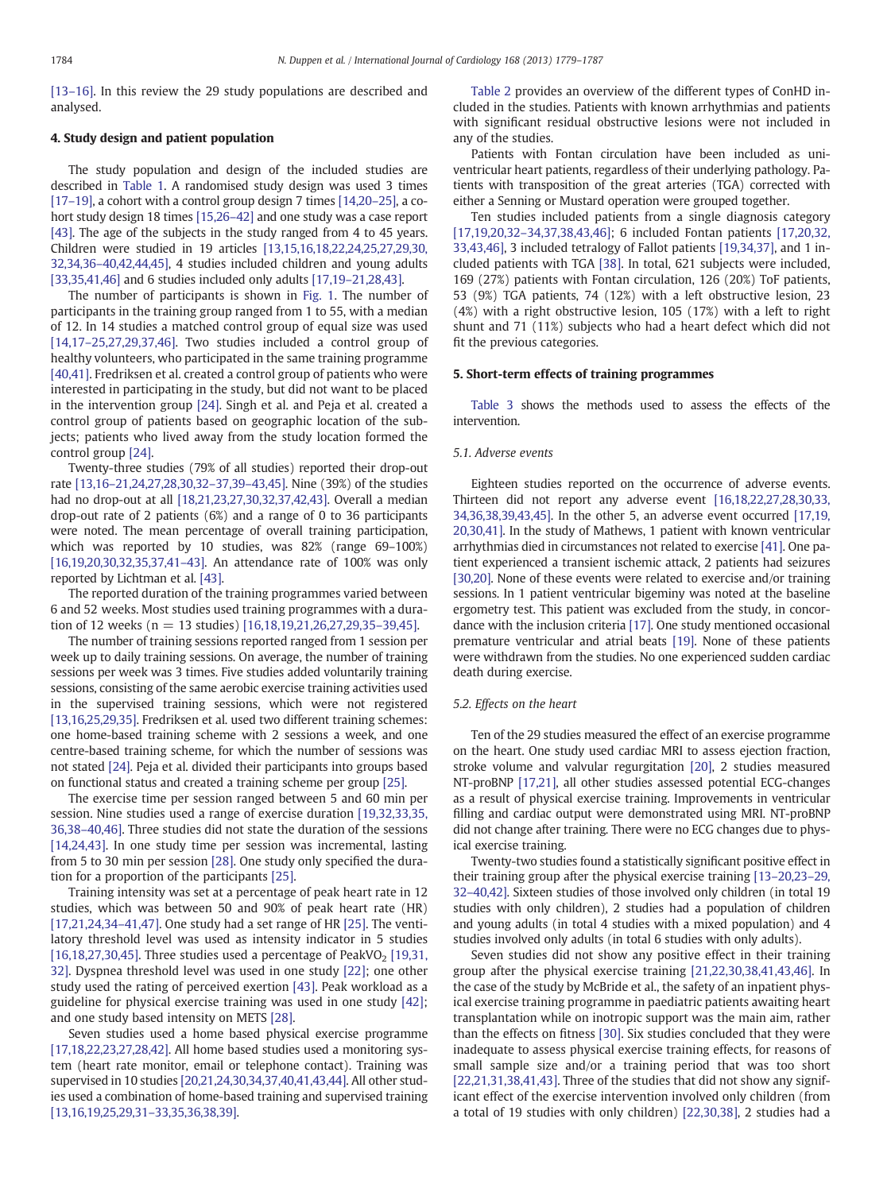[13–[16\]](#page-8-0). In this review the 29 study populations are described and analysed.

#### 4. Study design and patient population

The study population and design of the included studies are described in [Table 1](#page-1-0). A randomised study design was used 3 times [17–[19\],](#page-8-0) a cohort with a control group design 7 times [\[14,20](#page-8-0)–25], a cohort study design 18 times [\[15,26](#page-8-0)–42] and one study was a case report [\[43\]](#page-8-0). The age of the subjects in the study ranged from 4 to 45 years. Children were studied in 19 articles [\[13,15,16,18,22,24,25,27,29,30,](#page-8-0) 32,34,36–[40,42,44,45\]](#page-8-0), 4 studies included children and young adults [\[33,35,41,46\]](#page-8-0) and 6 studies included only adults [17,19-[21,28,43\]](#page-8-0).

The number of participants is shown in [Fig. 1.](#page-2-0) The number of participants in the training group ranged from 1 to 55, with a median of 12. In 14 studies a matched control group of equal size was used [14,17–[25,27,29,37,46\].](#page-8-0) Two studies included a control group of healthy volunteers, who participated in the same training programme [\[40,41\]](#page-8-0). Fredriksen et al. created a control group of patients who were interested in participating in the study, but did not want to be placed in the intervention group [\[24\].](#page-8-0) Singh et al. and Peja et al. created a control group of patients based on geographic location of the subjects; patients who lived away from the study location formed the control group [\[24\].](#page-8-0)

Twenty-three studies (79% of all studies) reported their drop-out rate [13,16–[21,24,27,28,30,32](#page-8-0)–37,39–43,45]. Nine (39%) of the studies had no drop-out at all [\[18,21,23,27,30,32,37,42,43\].](#page-8-0) Overall a median drop-out rate of 2 patients (6%) and a range of 0 to 36 participants were noted. The mean percentage of overall training participation, which was reported by 10 studies, was 82% (range 69–100%) [\[16,19,20,30,32,35,37,41](#page-8-0)–43]. An attendance rate of 100% was only reported by Lichtman et al. [\[43\]](#page-8-0).

The reported duration of the training programmes varied between 6 and 52 weeks. Most studies used training programmes with a duration of 12 weeks ( $n = 13$  studies) [\[16,18,19,21,26,27,29,35](#page-8-0)-39,45].

The number of training sessions reported ranged from 1 session per week up to daily training sessions. On average, the number of training sessions per week was 3 times. Five studies added voluntarily training sessions, consisting of the same aerobic exercise training activities used in the supervised training sessions, which were not registered [\[13,16,25,29,35\].](#page-8-0) Fredriksen et al. used two different training schemes: one home-based training scheme with 2 sessions a week, and one centre-based training scheme, for which the number of sessions was not stated [\[24\].](#page-8-0) Peja et al. divided their participants into groups based on functional status and created a training scheme per group [\[25\]](#page-8-0).

The exercise time per session ranged between 5 and 60 min per session. Nine studies used a range of exercise duration [\[19,32,33,35,](#page-8-0) 36,38–[40,46\]](#page-8-0). Three studies did not state the duration of the sessions [\[14,24,43\]](#page-8-0). In one study time per session was incremental, lasting from 5 to 30 min per session [\[28\]](#page-8-0). One study only specified the duration for a proportion of the participants [\[25\]](#page-8-0).

Training intensity was set at a percentage of peak heart rate in 12 studies, which was between 50 and 90% of peak heart rate (HR) [\[17,21,24,34](#page-8-0)–41,47]. One study had a set range of HR [\[25\]](#page-8-0). The ventilatory threshold level was used as intensity indicator in 5 studies [\[16,18,27,30,45\]](#page-8-0). Three studies used a percentage of PeakVO<sub>2</sub> [\[19,31,](#page-8-0) [32\].](#page-8-0) Dyspnea threshold level was used in one study [\[22\]](#page-8-0); one other study used the rating of perceived exertion [\[43\].](#page-8-0) Peak workload as a guideline for physical exercise training was used in one study [\[42\]](#page-8-0); and one study based intensity on METS [\[28\].](#page-8-0)

Seven studies used a home based physical exercise programme  $[17,18,22,23,27,28,42]$ . All home based studies used a monitoring system (heart rate monitor, email or telephone contact). Training was supervised in 10 studies [\[20,21,24,30,34,37,40,41,43,44\]](#page-8-0). All other studies used a combination of home-based training and supervised training [\[13,16,19,25,29,31](#page-8-0)–33,35,36,38,39].

[Table 2](#page-2-0) provides an overview of the different types of ConHD included in the studies. Patients with known arrhythmias and patients with significant residual obstructive lesions were not included in any of the studies.

Patients with Fontan circulation have been included as univentricular heart patients, regardless of their underlying pathology. Patients with transposition of the great arteries (TGA) corrected with either a Senning or Mustard operation were grouped together.

Ten studies included patients from a single diagnosis category [17,19,20,32–[34,37,38,43,46\];](#page-8-0) 6 included Fontan patients [\[17,20,32,](#page-8-0) [33,43,46\],](#page-8-0) 3 included tetralogy of Fallot patients [\[19,34,37\]](#page-8-0), and 1 included patients with TGA [\[38\]](#page-8-0). In total, 621 subjects were included, 169 (27%) patients with Fontan circulation, 126 (20%) ToF patients, 53 (9%) TGA patients, 74 (12%) with a left obstructive lesion, 23 (4%) with a right obstructive lesion, 105 (17%) with a left to right shunt and 71 (11%) subjects who had a heart defect which did not fit the previous categories.

#### 5. Short-term effects of training programmes

[Table 3](#page-3-0) shows the methods used to assess the effects of the intervention.

#### 5.1. Adverse events

Eighteen studies reported on the occurrence of adverse events. Thirteen did not report any adverse event [\[16,18,22,27,28,30,33,](#page-8-0) [34,36,38,39,43,45\].](#page-8-0) In the other 5, an adverse event occurred [\[17,19,](#page-8-0) [20,30,41\].](#page-8-0) In the study of Mathews, 1 patient with known ventricular arrhythmias died in circumstances not related to exercise [\[41\].](#page-8-0) One patient experienced a transient ischemic attack, 2 patients had seizures [\[30,20\].](#page-8-0) None of these events were related to exercise and/or training sessions. In 1 patient ventricular bigeminy was noted at the baseline ergometry test. This patient was excluded from the study, in concordance with the inclusion criteria [\[17\]](#page-8-0). One study mentioned occasional premature ventricular and atrial beats [\[19\]](#page-8-0). None of these patients were withdrawn from the studies. No one experienced sudden cardiac death during exercise.

#### 5.2. Effects on the heart

Ten of the 29 studies measured the effect of an exercise programme on the heart. One study used cardiac MRI to assess ejection fraction, stroke volume and valvular regurgitation [\[20\],](#page-8-0) 2 studies measured NT-proBNP [\[17,21\]](#page-8-0), all other studies assessed potential ECG-changes as a result of physical exercise training. Improvements in ventricular filling and cardiac output were demonstrated using MRI. NT-proBNP did not change after training. There were no ECG changes due to physical exercise training.

Twenty-two studies found a statistically significant positive effect in their training group after the physical exercise training [13–[20,23](#page-8-0)–29, 32–[40,42\]](#page-8-0). Sixteen studies of those involved only children (in total 19 studies with only children), 2 studies had a population of children and young adults (in total 4 studies with a mixed population) and 4 studies involved only adults (in total 6 studies with only adults).

Seven studies did not show any positive effect in their training group after the physical exercise training [\[21,22,30,38,41,43,46\]](#page-8-0). In the case of the study by McBride et al., the safety of an inpatient physical exercise training programme in paediatric patients awaiting heart transplantation while on inotropic support was the main aim, rather than the effects on fitness [\[30\]](#page-8-0). Six studies concluded that they were inadequate to assess physical exercise training effects, for reasons of small sample size and/or a training period that was too short [\[22,21,31,38,41,43\]](#page-8-0). Three of the studies that did not show any significant effect of the exercise intervention involved only children (from a total of 19 studies with only children) [\[22,30,38\]](#page-8-0), 2 studies had a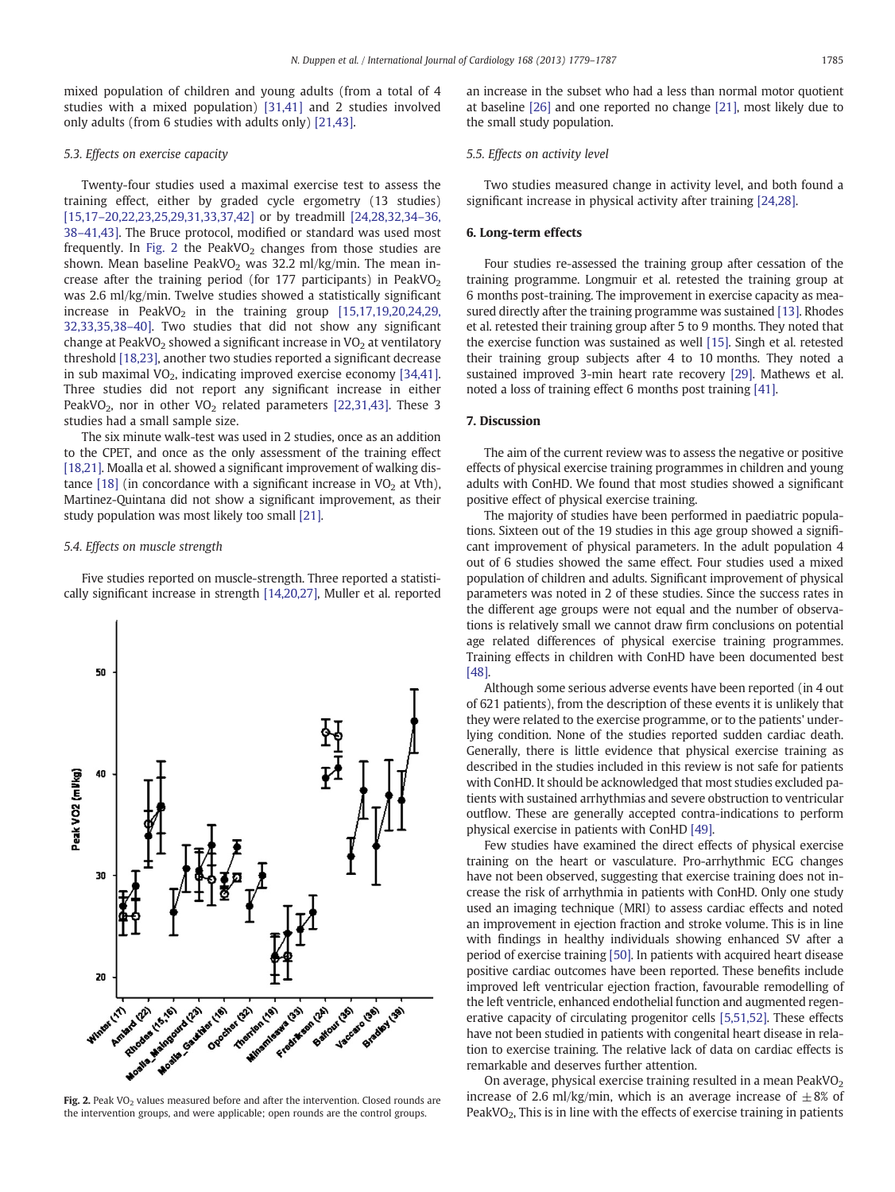mixed population of children and young adults (from a total of 4 studies with a mixed population) [\[31,41\]](#page-8-0) and 2 studies involved only adults (from 6 studies with adults only) [\[21,43\]](#page-8-0).

#### 5.3. Effects on exercise capacity

Twenty-four studies used a maximal exercise test to assess the training effect, either by graded cycle ergometry (13 studies) [15,17–[20,22,23,25,29,31,33,37,42\]](#page-8-0) or by treadmill [\[24,28,32,34](#page-8-0)–36, 38–[41,43\]](#page-8-0). The Bruce protocol, modified or standard was used most frequently. In Fig. 2 the PeakVO<sub>2</sub> changes from those studies are shown. Mean baseline PeakVO<sub>2</sub> was 32.2 ml/kg/min. The mean increase after the training period (for 177 participants) in PeakVO<sub>2</sub> was 2.6 ml/kg/min. Twelve studies showed a statistically significant increase in PeakVO<sub>2</sub> in the training group  $[15,17,19,20,24,29,$ [32,33,35,38](#page-8-0)–40]. Two studies that did not show any significant change at PeakVO<sub>2</sub> showed a significant increase in VO<sub>2</sub> at ventilatory threshold [\[18,23\],](#page-8-0) another two studies reported a significant decrease in sub maximal  $VO<sub>2</sub>$ , indicating improved exercise economy [\[34,41\].](#page-8-0) Three studies did not report any significant increase in either PeakVO<sub>2</sub>, nor in other VO<sub>2</sub> related parameters [\[22,31,43\].](#page-8-0) These 3 studies had a small sample size.

The six minute walk-test was used in 2 studies, once as an addition to the CPET, and once as the only assessment of the training effect [\[18,21\].](#page-8-0) Moalla et al. showed a significant improvement of walking distance  $[18]$  (in concordance with a significant increase in VO<sub>2</sub> at Vth), Martinez-Quintana did not show a significant improvement, as their study population was most likely too small [\[21\].](#page-8-0)

#### 5.4. Effects on muscle strength

Five studies reported on muscle-strength. Three reported a statistically significant increase in strength [\[14,20,27\]](#page-8-0), Muller et al. reported



Fig. 2. Peak  $VO<sub>2</sub>$  values measured before and after the intervention. Closed rounds are the intervention groups, and were applicable; open rounds are the control groups.

an increase in the subset who had a less than normal motor quotient at baseline [\[26\]](#page-8-0) and one reported no change [\[21\]](#page-8-0), most likely due to the small study population.

#### 5.5. Effects on activity level

Two studies measured change in activity level, and both found a significant increase in physical activity after training [\[24,28\].](#page-8-0)

### 6. Long-term effects

Four studies re-assessed the training group after cessation of the training programme. Longmuir et al. retested the training group at 6 months post-training. The improvement in exercise capacity as measured directly after the training programme was sustained [\[13\].](#page-8-0) Rhodes et al. retested their training group after 5 to 9 months. They noted that the exercise function was sustained as well [\[15\].](#page-8-0) Singh et al. retested their training group subjects after 4 to 10 months. They noted a sustained improved 3-min heart rate recovery [\[29\].](#page-8-0) Mathews et al. noted a loss of training effect 6 months post training [\[41\]](#page-8-0).

#### 7. Discussion

The aim of the current review was to assess the negative or positive effects of physical exercise training programmes in children and young adults with ConHD. We found that most studies showed a significant positive effect of physical exercise training.

The majority of studies have been performed in paediatric populations. Sixteen out of the 19 studies in this age group showed a significant improvement of physical parameters. In the adult population 4 out of 6 studies showed the same effect. Four studies used a mixed population of children and adults. Significant improvement of physical parameters was noted in 2 of these studies. Since the success rates in the different age groups were not equal and the number of observations is relatively small we cannot draw firm conclusions on potential age related differences of physical exercise training programmes. Training effects in children with ConHD have been documented best [\[48\].](#page-8-0)

Although some serious adverse events have been reported (in 4 out of 621 patients), from the description of these events it is unlikely that they were related to the exercise programme, or to the patients' underlying condition. None of the studies reported sudden cardiac death. Generally, there is little evidence that physical exercise training as described in the studies included in this review is not safe for patients with ConHD. It should be acknowledged that most studies excluded patients with sustained arrhythmias and severe obstruction to ventricular outflow. These are generally accepted contra-indications to perform physical exercise in patients with ConHD [\[49\]](#page-8-0).

Few studies have examined the direct effects of physical exercise training on the heart or vasculature. Pro-arrhythmic ECG changes have not been observed, suggesting that exercise training does not increase the risk of arrhythmia in patients with ConHD. Only one study used an imaging technique (MRI) to assess cardiac effects and noted an improvement in ejection fraction and stroke volume. This is in line with findings in healthy individuals showing enhanced SV after a period of exercise training [\[50\].](#page-8-0) In patients with acquired heart disease positive cardiac outcomes have been reported. These benefits include improved left ventricular ejection fraction, favourable remodelling of the left ventricle, enhanced endothelial function and augmented regenerative capacity of circulating progenitor cells [\[5,51,52\]](#page-7-0). These effects have not been studied in patients with congenital heart disease in relation to exercise training. The relative lack of data on cardiac effects is remarkable and deserves further attention.

On average, physical exercise training resulted in a mean PeakVO<sub>2</sub> increase of 2.6 ml/kg/min, which is an average increase of  $\pm 8\%$  of PeakVO<sub>2</sub>, This is in line with the effects of exercise training in patients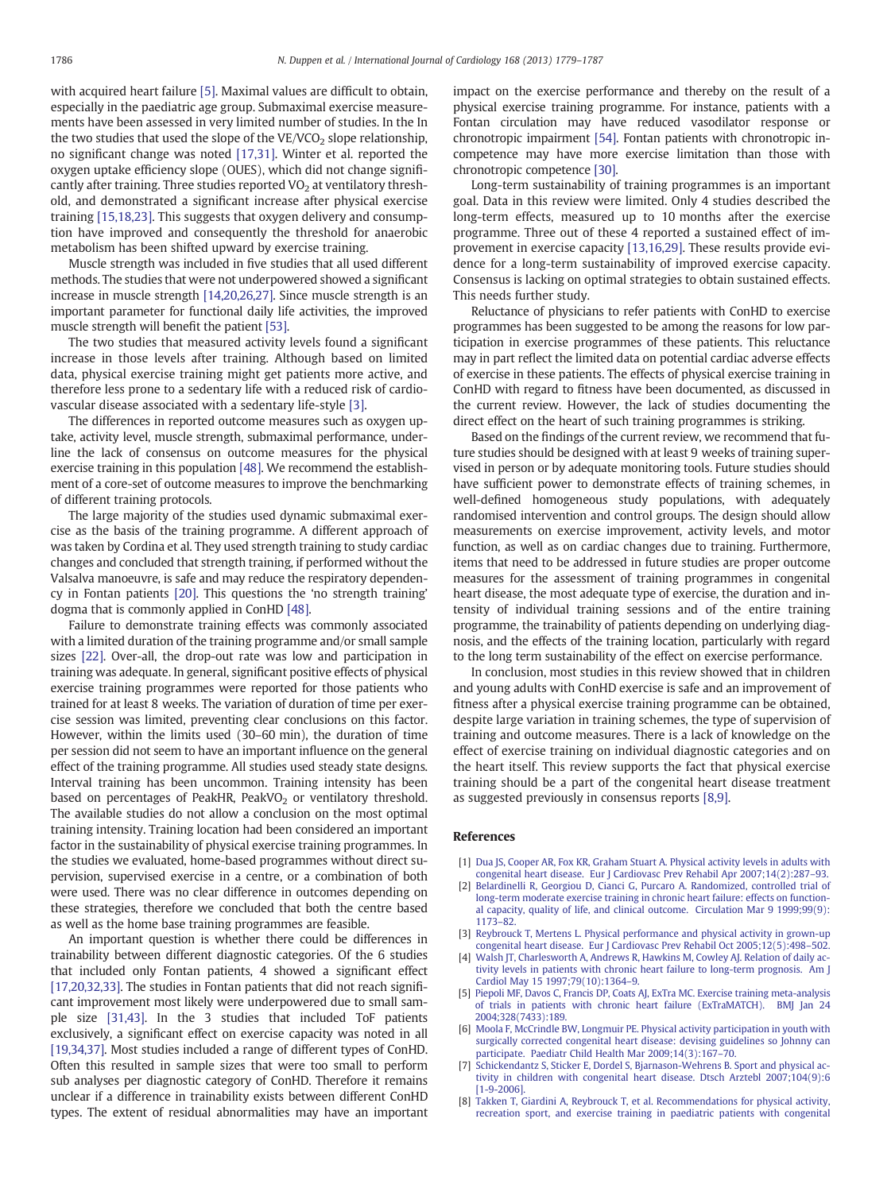<span id="page-7-0"></span>with acquired heart failure [5]. Maximal values are difficult to obtain, especially in the paediatric age group. Submaximal exercise measurements have been assessed in very limited number of studies. In the In the two studies that used the slope of the VE/VCO<sub>2</sub> slope relationship, no significant change was noted [\[17,31\]](#page-8-0). Winter et al. reported the oxygen uptake efficiency slope (OUES), which did not change significantly after training. Three studies reported  $VO<sub>2</sub>$  at ventilatory threshold, and demonstrated a significant increase after physical exercise training [\[15,18,23\]](#page-8-0). This suggests that oxygen delivery and consumption have improved and consequently the threshold for anaerobic metabolism has been shifted upward by exercise training.

Muscle strength was included in five studies that all used different methods. The studies that were not underpowered showed a significant increase in muscle strength [\[14,20,26,27\].](#page-8-0) Since muscle strength is an important parameter for functional daily life activities, the improved muscle strength will benefit the patient [\[53\].](#page-8-0)

The two studies that measured activity levels found a significant increase in those levels after training. Although based on limited data, physical exercise training might get patients more active, and therefore less prone to a sedentary life with a reduced risk of cardiovascular disease associated with a sedentary life-style [3].

The differences in reported outcome measures such as oxygen uptake, activity level, muscle strength, submaximal performance, underline the lack of consensus on outcome measures for the physical exercise training in this population [\[48\].](#page-8-0) We recommend the establishment of a core-set of outcome measures to improve the benchmarking of different training protocols.

The large majority of the studies used dynamic submaximal exercise as the basis of the training programme. A different approach of was taken by Cordina et al. They used strength training to study cardiac changes and concluded that strength training, if performed without the Valsalva manoeuvre, is safe and may reduce the respiratory dependency in Fontan patients [\[20\]](#page-8-0). This questions the 'no strength training' dogma that is commonly applied in ConHD [\[48\]](#page-8-0).

Failure to demonstrate training effects was commonly associated with a limited duration of the training programme and/or small sample sizes [\[22\].](#page-8-0) Over-all, the drop-out rate was low and participation in training was adequate. In general, significant positive effects of physical exercise training programmes were reported for those patients who trained for at least 8 weeks. The variation of duration of time per exercise session was limited, preventing clear conclusions on this factor. However, within the limits used (30–60 min), the duration of time per session did not seem to have an important influence on the general effect of the training programme. All studies used steady state designs. Interval training has been uncommon. Training intensity has been based on percentages of PeakHR, PeakVO<sub>2</sub> or ventilatory threshold. The available studies do not allow a conclusion on the most optimal training intensity. Training location had been considered an important factor in the sustainability of physical exercise training programmes. In the studies we evaluated, home-based programmes without direct supervision, supervised exercise in a centre, or a combination of both were used. There was no clear difference in outcomes depending on these strategies, therefore we concluded that both the centre based as well as the home base training programmes are feasible.

An important question is whether there could be differences in trainability between different diagnostic categories. Of the 6 studies that included only Fontan patients, 4 showed a significant effect [\[17,20,32,33\]](#page-8-0). The studies in Fontan patients that did not reach significant improvement most likely were underpowered due to small sample size [\[31,43\]](#page-8-0). In the 3 studies that included ToF patients exclusively, a significant effect on exercise capacity was noted in all [\[19,34,37\]](#page-8-0). Most studies included a range of different types of ConHD. Often this resulted in sample sizes that were too small to perform sub analyses per diagnostic category of ConHD. Therefore it remains unclear if a difference in trainability exists between different ConHD types. The extent of residual abnormalities may have an important impact on the exercise performance and thereby on the result of a physical exercise training programme. For instance, patients with a Fontan circulation may have reduced vasodilator response or chronotropic impairment [\[54\]](#page-8-0). Fontan patients with chronotropic incompetence may have more exercise limitation than those with chronotropic competence [\[30\].](#page-8-0)

Long-term sustainability of training programmes is an important goal. Data in this review were limited. Only 4 studies described the long-term effects, measured up to 10 months after the exercise programme. Three out of these 4 reported a sustained effect of improvement in exercise capacity [\[13,16,29\]](#page-8-0). These results provide evidence for a long-term sustainability of improved exercise capacity. Consensus is lacking on optimal strategies to obtain sustained effects. This needs further study.

Reluctance of physicians to refer patients with ConHD to exercise programmes has been suggested to be among the reasons for low participation in exercise programmes of these patients. This reluctance may in part reflect the limited data on potential cardiac adverse effects of exercise in these patients. The effects of physical exercise training in ConHD with regard to fitness have been documented, as discussed in the current review. However, the lack of studies documenting the direct effect on the heart of such training programmes is striking.

Based on the findings of the current review, we recommend that future studies should be designed with at least 9 weeks of training supervised in person or by adequate monitoring tools. Future studies should have sufficient power to demonstrate effects of training schemes, in well-defined homogeneous study populations, with adequately randomised intervention and control groups. The design should allow measurements on exercise improvement, activity levels, and motor function, as well as on cardiac changes due to training. Furthermore, items that need to be addressed in future studies are proper outcome measures for the assessment of training programmes in congenital heart disease, the most adequate type of exercise, the duration and intensity of individual training sessions and of the entire training programme, the trainability of patients depending on underlying diagnosis, and the effects of the training location, particularly with regard to the long term sustainability of the effect on exercise performance.

In conclusion, most studies in this review showed that in children and young adults with ConHD exercise is safe and an improvement of fitness after a physical exercise training programme can be obtained, despite large variation in training schemes, the type of supervision of training and outcome measures. There is a lack of knowledge on the effect of exercise training on individual diagnostic categories and on the heart itself. This review supports the fact that physical exercise training should be a part of the congenital heart disease treatment as suggested previously in consensus reports [8,9].

#### References

- [1] [Dua JS, Cooper AR, Fox KR, Graham Stuart A. Physical activity levels in adults with](http://refhub.elsevier.com/S0167-5273(13)01014-0/rf0210) [congenital heart disease. Eur J Cardiovasc Prev Rehabil Apr 2007;14\(2\):287](http://refhub.elsevier.com/S0167-5273(13)01014-0/rf0210)–93.
- [2] [Belardinelli R, Georgiou D, Cianci G, Purcaro A. Randomized, controlled trial of](http://refhub.elsevier.com/S0167-5273(13)01014-0/rf0010) [long-term moderate exercise training in chronic heart failure: effects on function](http://refhub.elsevier.com/S0167-5273(13)01014-0/rf0010)[al capacity, quality of life, and clinical outcome. Circulation Mar 9 1999;99\(9\):](http://refhub.elsevier.com/S0167-5273(13)01014-0/rf0010) [1173](http://refhub.elsevier.com/S0167-5273(13)01014-0/rf0010)–82.
- [3] [Reybrouck T, Mertens L. Physical performance and physical activity in grown-up](http://refhub.elsevier.com/S0167-5273(13)01014-0/rf0015) [congenital heart disease. Eur J Cardiovasc Prev Rehabil Oct 2005;12\(5\):498](http://refhub.elsevier.com/S0167-5273(13)01014-0/rf0015)–502.
- [4] [Walsh JT, Charlesworth A, Andrews R, Hawkins M, Cowley AJ. Relation of daily ac](http://refhub.elsevier.com/S0167-5273(13)01014-0/rf0020)[tivity levels in patients with chronic heart failure to long-term prognosis. Am J](http://refhub.elsevier.com/S0167-5273(13)01014-0/rf0020) [Cardiol May 15 1997;79\(10\):1364](http://refhub.elsevier.com/S0167-5273(13)01014-0/rf0020)–9.
- [5] [Piepoli MF, Davos C, Francis DP, Coats AJ, ExTra MC. Exercise training meta-analysis](http://refhub.elsevier.com/S0167-5273(13)01014-0/rf0025) [of trials in patients with chronic heart failure \(ExTraMATCH\). BMJ Jan 24](http://refhub.elsevier.com/S0167-5273(13)01014-0/rf0025) [2004;328\(7433\):189.](http://refhub.elsevier.com/S0167-5273(13)01014-0/rf0025)
- [6] [Moola F, McCrindle BW, Longmuir PE. Physical activity participation in youth with](http://refhub.elsevier.com/S0167-5273(13)01014-0/rf0030) [surgically corrected congenital heart disease: devising guidelines so Johnny can](http://refhub.elsevier.com/S0167-5273(13)01014-0/rf0030) [participate. Paediatr Child Health Mar 2009;14\(3\):167](http://refhub.elsevier.com/S0167-5273(13)01014-0/rf0030)–70.
- [7] [Schickendantz S, Sticker E, Dordel S, Bjarnason-Wehrens B. Sport and physical ac](http://refhub.elsevier.com/S0167-5273(13)01014-0/rf0215)[tivity in children with congenital heart disease. Dtsch Arztebl 2007;104\(9\):6](http://refhub.elsevier.com/S0167-5273(13)01014-0/rf0215) [1-9-2006]
- [8] [Takken T, Giardini A, Reybrouck T, et al. Recommendations for physical activity,](http://refhub.elsevier.com/S0167-5273(13)01014-0/rf0220) [recreation sport, and exercise training in paediatric patients with congenital](http://refhub.elsevier.com/S0167-5273(13)01014-0/rf0220)